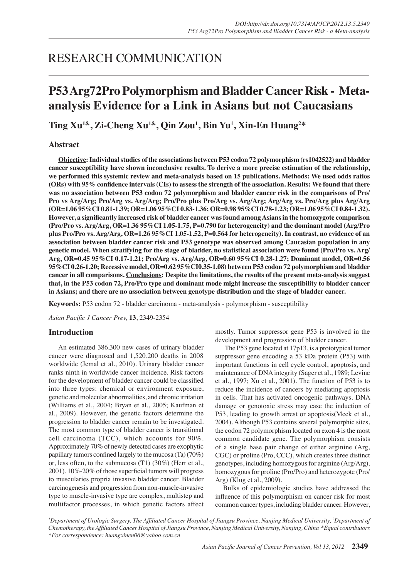## RESEARCH COMMUNICATION

# **P53 Arg72Pro Polymorphism and Bladder Cancer Risk - Metaanalysis Evidence for a Link in Asians but not Caucasians**

**Ting Xu1&, Zi-Cheng Xu1&, Qin Zou1 , Bin Yu<sup>1</sup> , Xin-En Huang<sup>2</sup> \***

## **Abstract**

**Objective: Individual studies of the associations between P53 codon 72 polymorphism (rs1042522) and bladder cancer susceptibility have shown inconclusive results. To derive a more precise estimation of the relationship, we performed this systemic review and meta-analysis based on 15 publications. Methods: We used odds ratios (ORs) with 95% confidence intervals (CIs) to assess the strength of the association. Results: We found that there was no association between P53 codon 72 polymorphism and bladder cancer risk in the comparisons of Pro/ Pro vs Arg/Arg; Pro/Arg vs. Arg/Arg; Pro/Pro plus Pro/Arg vs. Arg/Arg; Arg/Arg vs. Pro/Arg plus Arg/Arg (OR=1.06 95%CI 0.81-1.39; OR=1.06 95%CI 0.83-1.36; OR=0.98 95%CI 0.78-1.23; OR=1.06 95%CI 0.84-1.32). However, a significantly increased risk of bladder cancer was found among Asians in the homozygote comparison (Pro/Pro vs. Arg/Arg, OR=1.36 95%CI 1.05-1.75, P=0.790 for heterogeneity) and the dominant model (Arg/Pro plus Pro/Pro vs. Arg/Arg, OR=1.26 95%CI 1.05-1.52, P=0.564 for heterogeneity). In contrast, no evidence of an association between bladder cancer risk and P53 genotype was observed among Caucasian population in any genetic model. When stratifying for the stage of bladder, no statistical association were found (Pro/Pro vs. Arg/ Arg, OR=0.45 95%CI 0.17-1.21; Pro/Arg vs. Arg/Arg, OR=0.60 95%CI 0.28-1.27; Dominant model, OR=0.56 95%CI 0.26-1.20; Recessive model, OR=0.62 95%CI0.35-1.08) between P53 codon 72 polymorphism and bladder cancer in all comparisons. Conclusions: Despite the limitations, the results of the present meta-analysis suggest that, in the P53 codon 72, Pro/Pro type and dominant mode might increase the susceptibility to bladder cancer in Asians; and there are no association between genotype distribution and the stage of bladder cancer.**

**Keywords:** P53 codon 72 - bladder carcinoma - meta-analysis - polymorphism - susceptibility

*Asian Pacific J Cancer Prev,* **13**, 2349-2354

## **Introduction**

An estimated 386,300 new cases of urinary bladder cancer were diagnosed and 1,520,200 deaths in 2008 worldwide (Jemal et al., 2010). Urinary bladder cancer ranks ninth in worldwide cancer incidence. Risk factors for the development of bladder cancer could be classified into three types: chemical or environment exposure, genetic and molecular abnormalities, and chronic irritation (Williams et al., 2004; Bryan et al., 2005; Kaufman et al., 2009). However, the genetic factors determine the progression to bladder cancer remain to be investigated. The most common type of bladder cancer is transitional cell carcinoma (TCC), which accounts for 90%. Approximately 70% of newly detected cases are exophytic papillary tumors confined largely to the mucosa (Ta) (70%) or, less often, to the submucosa (T1) (30%) (Herr et al., 2001). 10%-20% of those superficial tumors will progress to muscularies propria invasive bladder cancer. Bladder carcinogenesis and progression from non-muscle-invasive type to muscle-invasive type are complex, multistep and multifactor processes, in which genetic factors affect mostly. Tumor suppressor gene P53 is involved in the development and progression of bladder cancer.

The P53 gene located at 17p13, is a prototypical tumor suppressor gene encoding a 53 kDa protein (P53) with important functions in cell cycle control, apoptosis, and maintenance of DNA integrity (Sager et al., 1989; Levine et al., 1997; Xu et al., 2001). The function of P53 is to reduce the incidence of cancers by mediating apoptosis in cells. That has activated oncogenic pathways. DNA damage or genotoxic stress may case the induction of P53, leading to growth arrest or apoptosis(Meek et al., 2004). Although P53 contains several polymorphic sites, the codon 72 polymorphism located on exon 4 is the most common candidate gene. The polymorphism consists of a single base pair change of either arginine (Arg, CGC) or proline (Pro, CCC), which creates three distinct genotypes, including homozygous for arginine (Arg/Arg), homozygous for proline (Pro/Pro) and heterozygote (Pro/ Arg) (Klug et al., 2009).

 Bulks of epidemiologic studies have addressed the influence of this polymorphism on cancer risk for most common cancer types, including bladder cancer. However,

*<sup>1</sup>Department of Urologic Surgery, The Affiliated Cancer Hospital of Jiangsu Province, Nanjing Medical University, <sup>2</sup>Department of Chemotherapy, the Affiliated Cancer Hospital of Jiangsu Province, Nanjing Medical University, Nanjing, China &Equal contributors \*For correspondence: huangxinen06@yahoo.com.cn*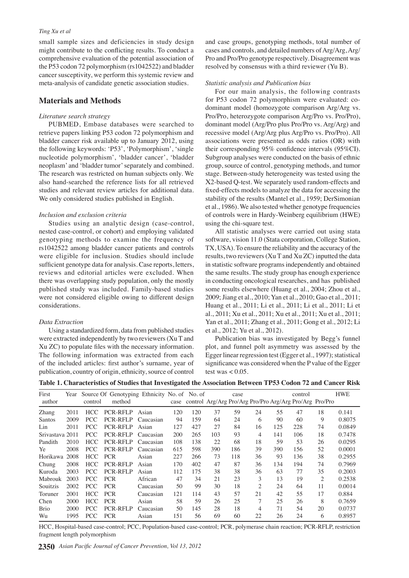#### *Ting Xu et al*

small sample sizes and deficiencies in study design might contribute to the conflicting results. To conduct a comprehensive evaluation of the potential association of the P53 codon 72 polymorphism (rs1042522) and bladder cancer susceptivity, we perform this systemic review and meta-analysis of candidate genetic association studies.

## **Materials and Methods**

## *Literature search strategy*

PUBMED, Embase databases were searched to retrieve papers linking P53 codon 72 polymorphism and bladder cancer risk available up to January 2012, using the following keywords: 'P53', 'Polymorphism', 'single nucleotide polymorphism', 'bladder cancer', 'bladder neoplasm' and 'bladder tumor' separately and combined. The research was restricted on human subjects only. We also hand-searched the reference lists for all retrieved studies and relevant review articles for additional data. We only considered studies published in English.

#### *Inclusion and exclusion criteria*

Studies using an analytic design (case-control, nested case-control, or cohort) and employing validated genotyping methods to examine the frequency of rs1042522 among bladder cancer patients and controls were eligible for inclusion. Studies should include sufficient genotype data for analysis. Case reports, letters, reviews and editorial articles were excluded. When there was overlapping study population, only the mostly published study was included. Family-based studies were not considered eligible owing to different design considerations.

#### *Data Extraction*

Using a standardized form, data from published studies were extracted independently by two reviewers (Xu T and Xu ZC) to populate files with the necessary information. The following information was extracted from each of the included articles: first author's surname, year of publication, country of origin, ethnicity, source of control

and case groups, genotyping methods, total number of cases and controls, and detailed numbers of Arg/Arg, Arg/ Pro and Pro/Pro genotype respectively. Disagreement was resolved by consensus with a third reviewer (Yu B).

#### *Statistic analysis and Publication bias*

For our main analysis, the following contrasts for P53 codon 72 polymorphism were evaluated: codominant model (homozygote comparison Arg/Arg vs. Pro/Pro, heterozygote comparison Arg/Pro vs. Pro/Pro), dominant model (Arg/Pro plus Pro/Pro vs. Arg/Arg) and recessive model (Arg/Arg plus Arg/Pro vs. Pro/Pro). All associations were presented as odds ratios (OR) with their corresponding 95% confidence intervals (95%CI). Subgroup analyses were conducted on the basis of ethnic group, source of control, genotyping methods, and tumor stage. Between-study heterogeneity was tested using the Χ2-based Q-test. We separately used random-effects and fixed-effects models to analyze the data for accessing the stability of the results (Mantel et al., 1959; DerSimonian et al., 1986). We also tested whether genotype frequencies of controls were in Hardy-Weinberg equilibrium (HWE) using the chi-square test.

All statistic analyses were carried out using stata software, vision 11.0 (Stata corporation, College Station, TX, USA). To ensure the reliability and the accuracy of the results, two reviewers (Xu T and Xu ZC) inputted the data in statistic software programs independently and obtained the same results. The study group has enough experience in conducting oncological researches, and has published some results elsewhere (Huang et al., 2004; Zhou et al., 2009; Jiang et al., 2010; Yan et al., 2010; Gao et al., 2011; Huang et al., 2011; Li et al., 2011; Li et al., 2011; Li et al., 2011; Xu et al., 2011; Xu et al., 2011; Xu et al., 2011; Yan et al., 2011; Zhang et al., 2011; Gong et al., 2012; Li et al., 2012; Yu et al., 2012).

Publication bias was investigated by Begg's funnel plot, and funnel polt asymmetry was assessed by the Egger linear regression test (Egger et al., 1997); statistical significance was considered when the P value of the Egger test was  $< 0.05$ .

**Table 1. Characteristics of Studies that Investigated the Association Between TP53 Codon 72 and Cancer Risk**

| First           | Year |            | Source Of Genotyping Ethnicity No. of No. of |           |      |     |     | case |                |     | control                                                 |                | <b>HWE</b> |
|-----------------|------|------------|----------------------------------------------|-----------|------|-----|-----|------|----------------|-----|---------------------------------------------------------|----------------|------------|
| author          |      | control    | method                                       |           | case |     |     |      |                |     | control Arg/Arg Pro/Arg Pro/Pro Arg/Arg Pro/Arg Pro/Pro |                |            |
| Zhang           | 2011 | HCC .      | <b>PCR-RFLP</b>                              | Asian     | 120  | 120 | 37  | 59   | 24             | 55  | 47                                                      | 18             | 0.141      |
| Santos          | 2009 | PCC.       | PCR-RFLP                                     | Caucasian | 94   | 159 | 64  | 24   | 6              | 90  | 60                                                      | 9              | 0.8075     |
| Lin             | 2011 | PCC.       | <b>PCR-RFLP</b>                              | Asian     | 127  | 427 | 27  | 84   | 16             | 125 | 228                                                     | 74             | 0.0849     |
| Srivastava 2011 |      | PCC.       | <b>PCR-RFLP</b>                              | Caucasian | 200  | 265 | 103 | 93   | 4              | 141 | 106                                                     | 18             | 0.7478     |
| Pandith         | 2010 | HCC.       | PCR-RFLP                                     | Caucasian | 108  | 138 | 22  | 68   | 18             | 59  | 53                                                      | 26             | 0.0295     |
| Ye              | 2008 | PCC.       | <b>PCR-RFLP</b>                              | Caucasian | 615  | 598 | 390 | 186  | 39             | 390 | 156                                                     | 52             | 0.0001     |
| Horikawa        | 2008 | HCC.       | <b>PCR</b>                                   | Asian     | 227  | 266 | 73  | 118  | 36             | 93  | 136                                                     | 38             | 0.2955     |
| Chung           | 2008 | HCC        | <b>PCR-RFLP</b>                              | Asian     | 170  | 402 | 47  | 87   | 36             | 134 | 194                                                     | 74             | 0.7969     |
| Kuroda          | 2003 | <b>PCC</b> | <b>PCR-RFLP</b>                              | Asian     | 112  | 175 | 38  | 38   | 36             | 63  | 77                                                      | 35             | 0.2003     |
| Mabrouk         | 2003 | <b>PCC</b> | <b>PCR</b>                                   | African   | 47   | 34  | 21  | 23   | 3              | 13  | 19                                                      | $\overline{c}$ | 0.2538     |
| Souitzis        | 2002 | <b>PCC</b> | <b>PCR</b>                                   | Caucasian | 50   | 99  | 30  | 18   | $\mathfrak{2}$ | 24  | 64                                                      | 11             | 0.0014     |
| Toruner         | 2001 | HCC        | <b>PCR</b>                                   | Caucasian | 121  | 114 | 43  | 57   | 21             | 42  | 55                                                      | 17             | 0.884      |
| Chen            | 2000 | HCC .      | <b>PCR</b>                                   | Asian     | 58   | 59  | 26  | 25   | 7              | 25  | 26                                                      | 8              | 0.7659     |
| <b>Brio</b>     | 2000 | <b>PCC</b> | <b>PCR-RFLP</b>                              | Caucasian | 50   | 145 | 28  | 18   | 4              | 71  | 54                                                      | 20             | 0.0737     |
| Wu              | 1995 | <b>PCC</b> | <b>PCR</b>                                   | Asian     | 151  | 56  | 69  | 60   | 22             | 26  | 24                                                      | 6              | 0.8957     |

HCC, Hospital-based case-control; PCC, Population-based case-control; PCR, polymerase chain reaction; PCR-RFLP, restriction fragment length polymorphism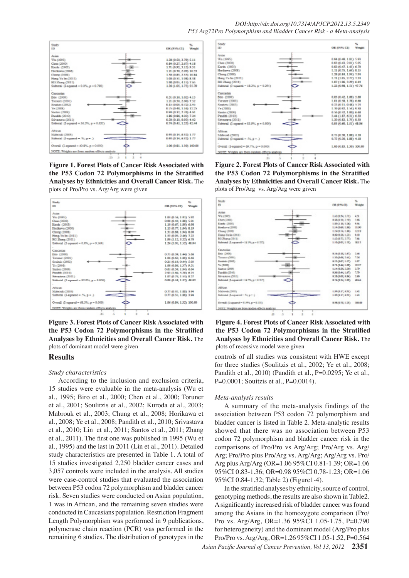

**Figure 1. Forest Plots of Cancer Risk Associated with the P53 Codon 72 Polymorphisms in the Stratified Analyses by Ethnicities and Overall Cancer Risk.** The plots of Pro/Pro vs. Arg/Arg were given



**Figure 3. Forest Plots of Cancer Risk Associated with the P53 Codon 72 Polymorphisms in the Stratified Analyses by Ethnicities and Overall Cancer Risk.** The plots of dominant model were given

## **Results**

#### *Study characteristics*

According to the inclusion and exclusion criteria, 15 studies were evaluable in the meta-analysis (Wu et al., 1995; Biro et al., 2000; Chen et al., 2000; Toruner et al., 2001; Soulitzis et al., 2002; Kuroda et al., 2003; Mabrouk et al., 2003; Chung et al., 2008; Horikawa et al., 2008; Ye et al., 2008; Pandith et al., 2010; Srivastava et al., 2010; Lin et al., 2011; Santos et al., 2011; Zhang et al., 2011). The first one was published in 1995 (Wu et al., 1995) and the last in 2011 (Lin et al., 2011). Detailed study characteristics are presented in Table 1. A total of 15 studies investigated 2,250 bladder cancer cases and 3,057 controls were included in the analysis. All studies were case-control studies that evaluated the association between P53 codon 72 polymorphism and bladder cancer risk. Seven studies were conducted on Asian population, 1 was in African, and the remaining seven studies were conducted in Caucasians population. Restriction Fragment Length Polymorphism was performed in 9 publications, polymerase chain reaction (PCR) was performed in the remaining 6 studies. The distribution of genotypes in the



Analyses by Ethnicities and Overall Cancer Risk. The<sup>50.0</sup> **Figure 2. Forest Plots of Cancer Risk Associated with the P53 Codon 72 Polymorphisms in the Stratified**  plots of Pro/Arg vs. Arg/Arg were given





controls of all studies was consistent with HWE except for three studies (Soulitzis et al., 2002; Ye et al., 2008; Pandith et al., 2010) (Pandith et al., P=0.0295; Ye et al., P=0.0001; Souitzis et al., P=0.0014).

## *Meta-analysis results*

A summary of the meta-analysis findings of the association between P53 codon 72 polymorphism and bladder cancer is listed in Table 2. Meta-analytic results showed that there was no association between P53 codon 72 polymorphism and bladder cancer risk in the comparisons of Pro/Pro vs Arg/Arg; Pro/Arg vs. Arg/ Arg; Pro/Pro plus Pro/Arg vs. Arg/Arg; Arg/Arg vs. Pro/ Arg plus Arg/Arg (OR=1.06 95%CI 0.81-1.39; OR=1.06 95%CI 0.83-1.36; OR=0.98 95%CI 0.78-1.23; OR=1.06 95%CI 0.84-1.32; Table 2) (Figure1-4).

In the stratified analyses by ethnicity, source of control, genotyping methods, the results are also shown in Table2. A significantly increased risk of bladder cancer was found among the Asians in the homozygote comparison (Pro/ Pro vs. Arg/Arg, OR=1.36 95%CI 1.05-1.75, P=0.790 for heterogeneity) and the dominant model (Arg/Pro plus Pro/Pro vs. Arg/Arg, OR=1.26 95%CI 1.05-1.52, P=0.564

**46.8 56.3**

**20.3 6.3 10.1**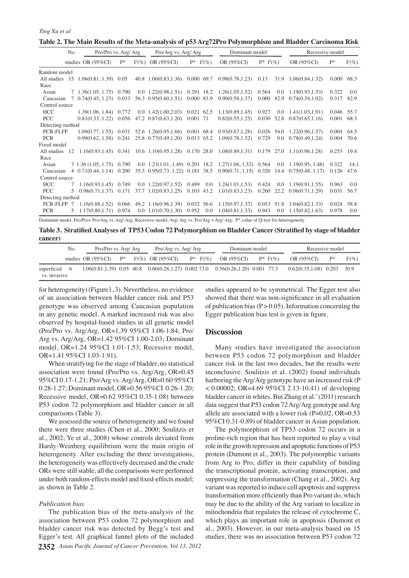|                  | No. |                                       | Pro/Pro vs. Arg/ Arg |           | Pro/Arg vs. Arg/Arg                                      |                   | Dominant model                                                                                                           |                 |         | Recessive model                |            |           |
|------------------|-----|---------------------------------------|----------------------|-----------|----------------------------------------------------------|-------------------|--------------------------------------------------------------------------------------------------------------------------|-----------------|---------|--------------------------------|------------|-----------|
|                  |     | studies OR $(95\%CI)$                 | $P*$                 | $I^2(\%)$ | OR (95%CI)                                               | $P*$<br>$I^2(\%)$ | OR (95%CI)                                                                                                               | $P^*$ $I^2(\%)$ |         | OR (95%CI)                     | $P*$       | $I^2(\%)$ |
| Random model     |     |                                       |                      |           |                                                          |                   |                                                                                                                          |                 |         |                                |            |           |
| All studies      |     | 15 1.06(0.81, 1.39) 0.05              |                      |           | 40.8 1.06(0.83.1.36)                                     | 0.000 69.7        | 0.98(0.78, 1.23)                                                                                                         | 0.13            | 31.9    | 1.06(0.84, 1.32)               | 0.000      | 68.3      |
| Race             |     |                                       |                      |           |                                                          |                   |                                                                                                                          |                 |         |                                |            |           |
| Asian            |     | 7 1.36(1.05, 1.75) 0.790              |                      |           | $0.0$ 1.22 $(0.98, 1.51)$ 0.291 18.2                     |                   | 1.26(1.05, 1.52)                                                                                                         | 0.564           | $0.0\,$ | 1.19(0.93, 1.53)               | 0.322      | 0.0       |
| Caucasian        | 7   | $0.74(0.45, 1.23)$ 0.033              |                      |           | 56.3 0.95(0.60,1.51)                                     | 0.000 83.9        | 0.90(0.58, 1.37)                                                                                                         | 0.000           | 82.9    | 0.74(0.54, 1.02)               | 0.317      | 82.9      |
| Control source   |     |                                       |                      |           |                                                          |                   |                                                                                                                          |                 |         |                                |            |           |
| <b>HCC</b>       |     | 1.39(1.06, 1.84) 0.772                |                      |           | $0.0 \quad 1.42(1.00, 2.03)$                             | 0.021 62.5        | 1.13(0.89, 1.45)                                                                                                         | 0.927           | $0.0\,$ | 1.41(1.03, 1.91)               | 0.046      | 55.7      |
| <b>PCC</b>       |     | $0.81(0.33, 1.22)$ 0.056              |                      |           | 47.2 0.87(0.63,1.20)                                     | 0.001 71          | 0.82(0.55, 1.25)                                                                                                         | 0.030           |         | 52.8 0.87(0.65,1.16)           | 0.001      | 68.3      |
| Detecting method |     |                                       |                      |           |                                                          |                   |                                                                                                                          |                 |         |                                |            |           |
| <b>PCR-FLFP</b>  |     |                                       |                      |           | $1.09(0.77, 1.55)$ 0.031 52.6 1.26(0.95,1.66) 0.001 68.4 |                   | 0.93(0.67, 1.28)                                                                                                         |                 |         | $0.026$ 54.0 1.22(0.96,1.57)   | 0.004      | 64.5      |
| <b>PCR</b>       |     | $0.99(0.62, 1.58)$ 0.241              |                      |           | 25.8 0.77(0.49,1.20)                                     | 0.013 65.2        | 1.09(0.78, 1.52)                                                                                                         | 0.729           | 0.0     | 0.78(0.49.1.24)                | 0.004      | 70.6      |
| Fixed model      |     |                                       |                      |           |                                                          |                   |                                                                                                                          |                 |         |                                |            |           |
| All studies      | 12  |                                       |                      |           |                                                          |                   | $1.16(0.93, 1.45)$ $0.341$ $10.6$ $1.10(0.95, 1.28)$ $0.170$ $28.0$ $1.08(0.89, 1.31)$ $0.179$ $27.0$ $1.11(0.96, 1.28)$ |                 |         |                                | 0.253 19.4 |           |
| Race             |     |                                       |                      |           |                                                          |                   |                                                                                                                          |                 |         |                                |            |           |
| Asian            |     | 7 1.36 (1.05, 1.75) 0.790             |                      |           |                                                          |                   | $0.0$ 1.23(1.01, 1.49) 0.291 18.2 1.27(1.06, 1.52) 0.564 0.0 1.19(0.95, 1.48)                                            |                 |         |                                | 0.322      | 14.1      |
| Caucasian        |     | $4\quad 0.71(0.44, 1.14) \quad 0.200$ |                      |           |                                                          |                   | 35.3 0.95(0.73, 1.22) 0.181 38.5 0.90(0.71, 1.15) 0.320 14.4 0.75(0.48, 1.17)                                            |                 |         |                                | 0.126      | 47.6      |
| Control source   |     |                                       |                      |           |                                                          |                   |                                                                                                                          |                 |         |                                |            |           |
| <b>HCC</b>       |     | $1.16(0.93.1.45)$ 0.749               |                      |           |                                                          |                   | $0.0$ 1.22(0.97,1.52) 0.499 0.0 1.24(1.01,1.53)                                                                          | 0.424           |         | $0.0 \quad 1.19(0.91.1.55)$    | 0.963      | 0.0       |
| <b>PCC</b>       | 5.  |                                       |                      |           |                                                          |                   | $0.98(0.71, 1.37)$ $0.171$ $37.7$ $1.02(0.83, 1.25)$ $0.103$ $43.2$ $1.01(0.83, 1.23)$                                   |                 |         | $0.260$ 22.2 $0.96(0.71.1.29)$ | 0.031      | 56.7      |
| Detecting method |     |                                       |                      |           |                                                          |                   |                                                                                                                          |                 |         |                                |            |           |
| PCR-FLFP 7       |     |                                       |                      |           | $1.16(0.88, 1.52)$ 0.066 49.2 1.16(0.96,1.39) 0.032 56.6 |                   | 1.15(0.97, 1.37)                                                                                                         | 0.053           | 51.8    | 1.04(0.82.1.33)                | 0.024      | 58.8      |
| <b>PCR</b>       | 5.  | 1.17(0.80.1.71)                       | 0.974                |           | $0.0 \quad 1.01(0.70, 1.30)$                             | 0.952<br>0.0      | 1.04(0.81, 1.33)                                                                                                         | 0.943           | 0.0     | 1.15(0.82.1.63)                | 0.978      | 0.0       |

Dominant model, Pro/Pro+ Pro/Arg vs. Arg/ Arg; Recessive model, Arg/ Arg vs. Pro/Arg + Arg/ Arg; P\*,value of Q-test for heterogeneity

**Table 3. Stratified Analyses of TP53 Codon 72 Polymorphism on Bladder Cancer (Stratified by stage of bladder cancer)**

|                               | No. |                                                                                      | Pro/Pro vs. Arg/ Arg |  |                      | Pro/Arg vs. Arg/ Arg |  |            | Dominant model           |  |                          | Recessive model |           |  |
|-------------------------------|-----|--------------------------------------------------------------------------------------|----------------------|--|----------------------|----------------------|--|------------|--------------------------|--|--------------------------|-----------------|-----------|--|
|                               |     | studies OR $(95\%$ CI)                                                               | $\mathbf{P}^*$       |  | $I^2(\%)$ OR (95%CI) | $P^*$ $I^2(\%)$      |  | OR (95%CI) | $P^*$ [ <sup>2</sup> (%) |  | OR (95%CI)               | $P^*$           | $I^2(\%)$ |  |
| superficial 6<br>vs. invasive |     | $1.06(0.81, 1.39)$ 0.05 40.8 0.60(0.28, 1.27) 0.002 73.0 0.56(0.26, 1.20) 0.001 77.3 |                      |  |                      |                      |  |            |                          |  | $0.62(0.35, 1.08)$ 0.203 |                 | 30.9      |  |

for heterogeneity) (Figure1, 3). Nevertheless, no evidence of an association between bladder cancer risk and P53 genotype was observed among Caucasian population in any genetic model. A marked increased risk was also observed by hospital-based studies in all genetic model (Pro/Pro vs. Arg/Arg, OR=1.39 95%CI 1.06-1.84; Pro/ Arg vs. Arg/Arg, OR=1.42 95%CI 1.00-2.03; Dominant model, OR=1.24 95%CI 1.01-1.53; Recessive model, OR=1.41 95%CI 1.03-1.91).

When stratifying for the stage of bladder, no statistical association were found (Pro/Pro vs. Arg/Arg, OR=0.45 95%CI 0.17-1.21; Pro/Arg vs. Arg/Arg, OR=0.60 95%CI 0.28-1.27; Dominant model, OR=0.56 95%CI 0.26-1.20; Recessive model, OR=0.62 95%CI 0.35-1.08) between P53 codon 72 polymorphism and bladder cancer in all comparisons (Table 3).

We assessed the source of heterogeneity and we found there were three studies (Chen et al., 2000; Soulitzis et al., 2002; Ye et al., 2008) whose controls deviated from Hardy-Weinberg equilibrium were the main origin of heterogeneity. After excluding the three investigations, the heterogeneity was effectively decreased and the crude ORs were still stable, all the comparisons were performed under both random-effects model and fixed-effects model; as shown in Table 2.

#### *Publication bias*

**2352** *Asian Pacific Journal of Cancer Prevention, Vol 13, 2012* The publication bias of the meta-analysis of the association between P53 codon 72 polymorphism and bladder cancer risk was detected by Begg's test and Egger's test. All graphical funnel plots of the included

studies appeared to be symmetrical. The Egger test also showed that there was non-significance in all evaluation of publication bias  $(P > 0.05)$ . Information concerning the Egger publication bias test is given in figure.

## **Discussion**

Many studies have investigated the association between P53 codon 72 polymorphism and bladder cancer risk in the last two decades, but the results were inconclusive. Soulitzis et al. (2002) found individuals harboring the Arg/Arg genotype have an increased risk (P < 0.00002; OR=4.69 95%CI 2.13-10.41) of developing bladder cancer in whites. But Zhang et al.' (2011) research data suggest that P53 codon 72 Arg/Arg genotype and Arg allele are associated with a lower risk  $(P=0.02, OR=0.53)$ 95%CI 0.31-0.89) of bladder cancer in Asian population.

The polymorphism of TP53 codon 72 occurs in a proline-rich region that has been reported to play a vital role in the growth repression and apoptotic functions of P53 protein (Dumont et al., 2003). The polymorphic variants from Arg to Pro, differ in their capability of binding the transcriptional protein, activating transcription, and suppressing the transformation (Chang et al., 2002). Arg variant was reported to induce cell apoptosis and suppress transformation more efficiently than Pro variant do, which may be due to the ability of the Arg variant to localize in mitochondria that regulates the release of cytochrome C, which plays an important role in apoptosis (Dumont et al., 2003). However, in our meta-analysis based on 15 studies, there was no association between P53 codon 72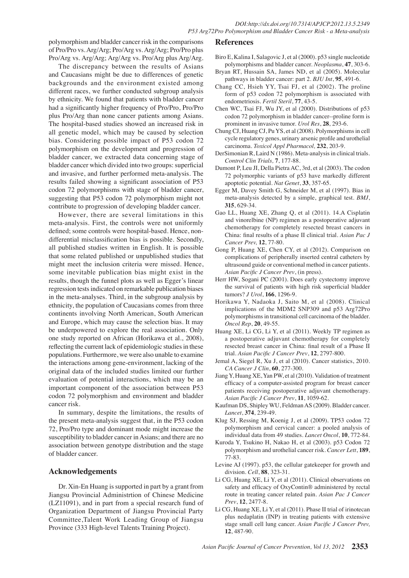polymorphism and bladder cancer risk in the comparisons of Pro/Pro vs. Arg/Arg; Pro/Arg vs. Arg/Arg; Pro/Pro plus Pro/Arg vs. Arg/Arg; Arg/Arg vs. Pro/Arg plus Arg/Arg.

The discrepancy between the results of Asians and Caucasians might be due to differences of genetic backgrounds and the environment existed among different races, we further conducted subgroup analysis by ethnicity. We found that patients with bladder cancer had a significantly higher frequency of Pro/Pro, Pro/Pro plus Pro/Arg than none cancer patients among Asians. The hospital-based studies showed an increased risk in all genetic model, which may be caused by selection bias. Considering possible impact of P53 codon 72 polymorphism on the development and progression of bladder cancer, we extracted data concerning stage of bladder cancer which divided into two groups: superficial and invasive, and further performed meta-analysis. The results failed showing a significant association of P53 codon 72 polymorphisms with stage of bladder cancer, suggesting that P53 codon 72 polymorphism might not contribute to progression of developing bladder cancer.

However, there are several limitations in this meta-analysis. First, the controls were not uniformly defined; some controls were hospital-based. Hence, nondifferential misclassification bias is possible. Secondly, all published studies written in English. It is possible that some related published or unpublished studies that might meet the inclusion criteria were missed. Hence, some inevitable publication bias might exist in the results, though the funnel plots as well as Egger's linear regression tests indicated on remarkable publication biases in the meta-analyses. Third, in the subgroup analysis by ethnicity, the population of Caucasians comes from three continents involving North American, South American and Europe, which may cause the selection bias. It may be underpowered to explore the real association. Only one study reported on African (Horikawa et al., 2008), reflecting the current lack of epidemiologic studies in these populations. Furthermore, we were also unable to examine the interactions among gene-environment, lacking of the original data of the included studies limited our further evaluation of potential interactions, which may be an important component of the association between P53 codon 72 polymorphism and environment and bladder cancer risk.

In summary, despite the limitations, the results of the present meta-analysis suggest that, in the P53 codon 72, Pro/Pro type and dominant mode might increase the susceptibility to bladder cancer in Asians; and there are no association between genotype distribution and the stage of bladder cancer.

## **Acknowledgements**

Dr. Xin-En Huang is supported in part by a grant from Jiangsu Provincial Administrtion of Chinese Medicine (LZ11091), and in part from a special research fund of Organization Department of Jiangsu Provincial Party Committee,Talent Work Leading Group of Jiangsu Province (333 High-level Talents Training Project).

#### **References**

- Biro E, Kalina I, Salagovic J, et al (2000). p53 single nucleotide polymorphisms and bladder cancer. *Neoplasma*, **47**, 303-6.
- Bryan RT, Hussain SA, James ND, et al (2005). Molecular pathways in bladder cancer: part 2. *BJU Int*, **95**, 491-6.
- Chang CC, Hsieh YY, Tsai FJ, et al (2002). The proline form of p53 codon 72 polymorphism is associated with endometriosis. *Fertil Steril*, **77**, 43-5.
- Chen WC, Tsai FJ, Wu JY, et al (2000). Distributions of p53 codon 72 polymorphism in bladder cancer--proline form is prominent in invasive tumor. *Urol Res*, **28**, 293-6.
- Chung CJ, Huang CJ, Pu YS, et al (2008). Polymorphisms in cell cycle regulatory genes, urinary arsenic profile and urothelial carcinoma. *Toxicol Appl Pharmacol,* **232**, 203-9.
- DerSimonian R, Laird N (1986). Meta-analysis in clinical trials. *Control Clin Trials,* **7**, 177-88.
- Dumont P, Leu JI, Della Pietra AC, 3rd, et al (2003). The codon 72 polymorphic variants of p53 have markedly different apoptotic potential. *Nat Genet*, **33**, 357-65.
- Egger M, Davey Smith G, Schneider M, et al (1997). Bias in meta-analysis detected by a simple, graphical test. *BMJ*, **315**, 629-34.
- Gao LL, Huang XE, Zhang Q, et al (2011). 14.A Cisplatin and vinorelbine (NP) regimen as a postoperative adjuvant chemotherapy for completely resected breast cancers in China: final results of a phase II clinical trial. *Asian Pac J Cancer Prev,* **12**, 77-80.
- Gong P, Huang XE, Chen CY, et al (2012). Comparison on complications of peripherally inserted central catheters by ultrasound guide or conventional method in cancer patients. *Asian Pacific J Cancer Prev*, (in press).
- Herr HW, Sogani PC (2001). Does early cystectomy improve the survival of patients with high risk superficial bladder tumors? *J Urol*, **166**, 1296-9.
- Horikawa Y, Nadaoka J, Saito M, et al (2008). Clinical implications of the MDM2 SNP309 and p53 Arg72Pro polymorphisms in transitional cell carcinoma of the bladder. *Oncol Rep*, **20**, 49-55.
- Huang XE, Li CG, Li Y, et al (2011). Weekly TP regimen as a postoperative adjuvant chemotherapy for completely resected breast cancer in China: final result of a Phase II trial. *Asian Pacific J Cancer Prev*, **12**, 2797-800.
- Jemal A, Siegel R, Xu J, et al (2010). Cancer statistics, 2010. *CA Cancer J Clin*, **60**, 277-300.
- Jiang Y, Huang XE, Yan PW, et al (2010). Validation of treatment efficacy of a computer-assisted program for breast cancer patients receiving postoperative adjuvant chemotherapy. *Asian Pacific J Cancer Prev*, **11**, 1059-62.
- Kaufman DS, Shipley WU, Feldman AS (2009). Bladder cancer. *Lancet*, **374**, 239-49.
- Klug SJ, Ressing M, Koenig J, et al (2009). TP53 codon 72 polymorphism and cervical cancer: a pooled analysis of individual data from 49 studies. *Lancet Oncol*, **10**, 772-84.
- Kuroda Y, Tsukino H, Nakao H, et al (2003). p53 Codon 72 polymorphism and urothelial cancer risk. *Cancer Lett*, **189**, 77-83.
- Levine AJ (1997). p53, the cellular gatekeeper for growth and division. *Cell*, **88**, 323-31.
- Li CG, Huang XE, Li Y, et al (2011). Clinical observations on safety and efficacy of OxyContin® administered by rectal route in treating cancer related pain. *Asian Pac J Cancer Prev*, **12**, 2477-8.
- Li CG, Huang XE, Li Y, et al (2011). Phase II trial of irinotecan plus nedaplatin (INP) in treating patients with extensive stage small cell lung cancer. *Asian Pacific J Cancer Prev,* **12**, 487-90.